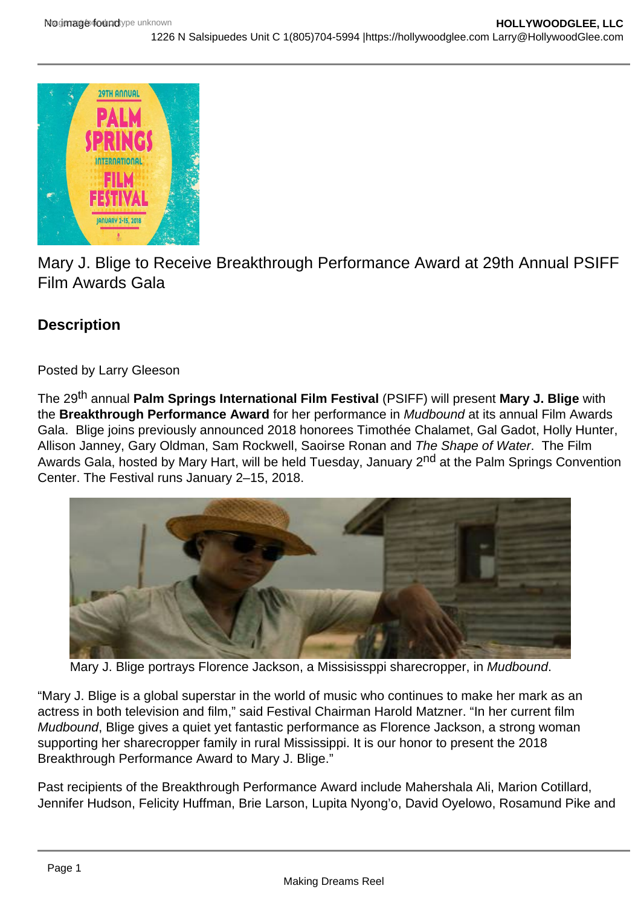

Mary J. Blige to Receive Breakthrough Performance Award at 29th Annual PSIFF Film Awards Gala

## **Description**

## Posted by Larry Gleeson

The 29th annual **Palm Springs International Film Festival** (PSIFF) will present **Mary J. Blige** with the **Breakthrough Performance Award** for her performance in Mudbound at its annual Film Awards Gala. Blige joins previously announced 2018 honorees Timothée Chalamet, Gal Gadot, Holly Hunter, Allison Janney, Gary Oldman, Sam Rockwell, Saoirse Ronan and The Shape of Water. The Film Awards Gala, hosted by Mary Hart, will be held Tuesday, January 2<sup>nd</sup> at the Palm Springs Convention Center. The Festival runs January 2–15, 2018.



Mary J. Blige portrays Florence Jackson, a Missisissppi sharecropper, in Mudbound.

"Mary J. Blige is a global superstar in the world of music who continues to make her mark as an actress in both television and film," said Festival Chairman Harold Matzner. "In her current film Mudbound, Blige gives a quiet yet fantastic performance as Florence Jackson, a strong woman supporting her sharecropper family in rural Mississippi. It is our honor to present the 2018 Breakthrough Performance Award to Mary J. Blige."

Past recipients of the Breakthrough Performance Award include Mahershala Ali, Marion Cotillard, Jennifer Hudson, Felicity Huffman, Brie Larson, Lupita Nyong'o, David Oyelowo, Rosamund Pike and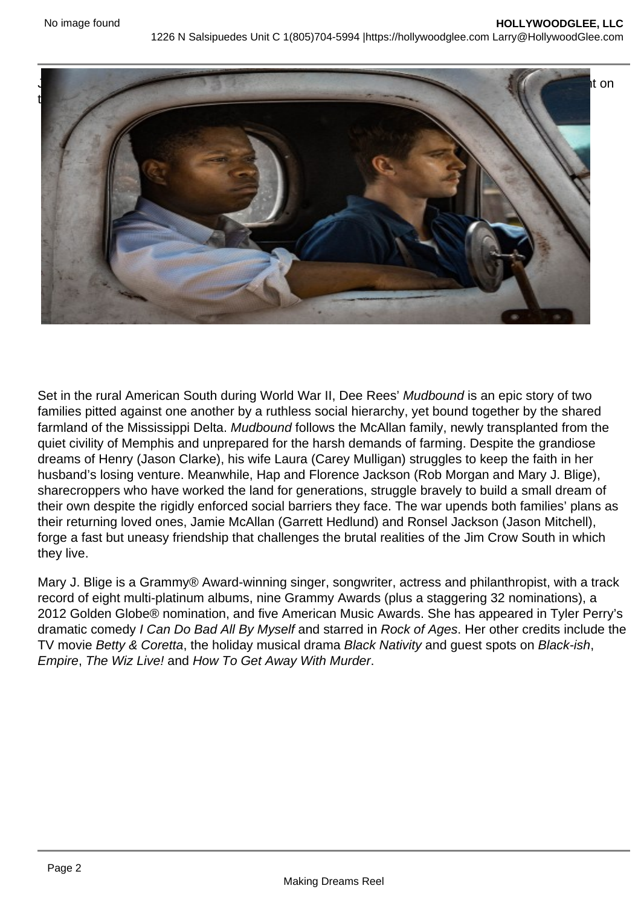

Set in the rural American South during World War II, Dee Rees' Mudbound is an epic story of two families pitted against one another by a ruthless social hierarchy, yet bound together by the shared farmland of the Mississippi Delta. Mudbound follows the McAllan family, newly transplanted from the quiet civility of Memphis and unprepared for the harsh demands of farming. Despite the grandiose dreams of Henry (Jason Clarke), his wife Laura (Carey Mulligan) struggles to keep the faith in her husband's losing venture. Meanwhile, Hap and Florence Jackson (Rob Morgan and Mary J. Blige), sharecroppers who have worked the land for generations, struggle bravely to build a small dream of their own despite the rigidly enforced social barriers they face. The war upends both families' plans as their returning loved ones, Jamie McAllan (Garrett Hedlund) and Ronsel Jackson (Jason Mitchell), forge a fast but uneasy friendship that challenges the brutal realities of the Jim Crow South in which they live.

Mary J. Blige is a Grammy® Award-winning singer, songwriter, actress and philanthropist, with a track record of eight multi-platinum albums, nine Grammy Awards (plus a staggering 32 nominations), a 2012 Golden Globe® nomination, and five American Music Awards. She has appeared in Tyler Perry's dramatic comedy I Can Do Bad All By Myself and starred in Rock of Ages. Her other credits include the TV movie Betty & Coretta, the holiday musical drama Black Nativity and guest spots on Black-ish, Empire, The Wiz Live! and How To Get Away With Murder.